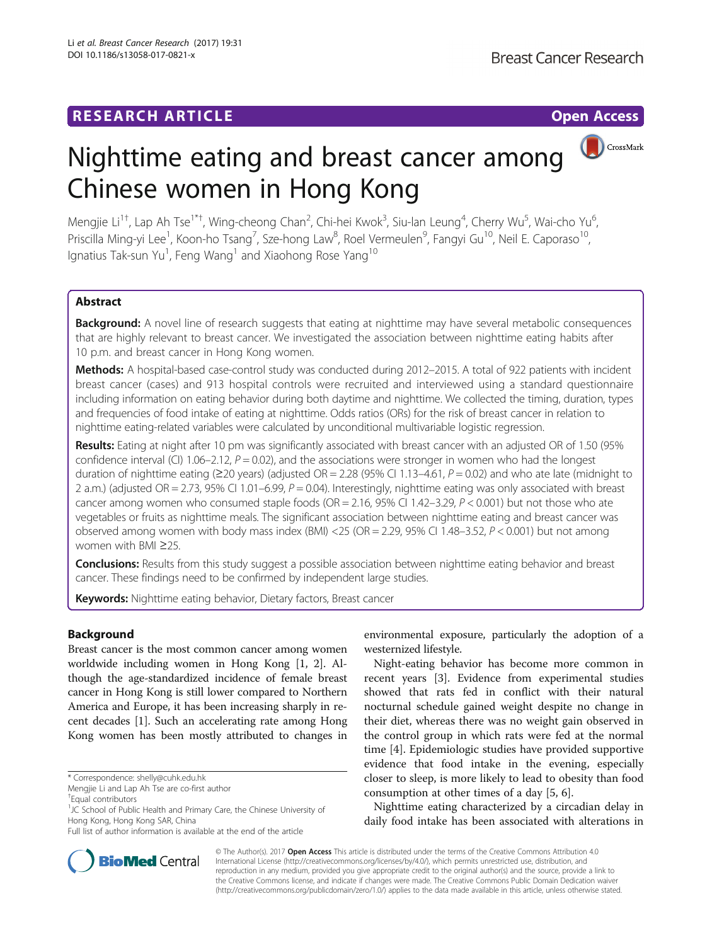CrossMark

# Nighttime eating and breast cancer among Chinese women in Hong Kong

Mengjie Li<sup>1†</sup>, Lap Ah Tse<sup>1\*†</sup>, Wing-cheong Chan<sup>2</sup>, Chi-hei Kwok<sup>3</sup>, Siu-lan Leung<sup>4</sup>, Cherry Wu<sup>5</sup>, Wai-cho Yu<sup>6</sup> , Priscilla Ming-yi Lee<sup>1</sup>, Koon-ho Tsang<sup>7</sup>, Sze-hong Law<sup>8</sup>, Roel Vermeulen<sup>9</sup>, Fangyi Gu<sup>10</sup>, Neil E. Caporaso<sup>10</sup>, lgnatius Tak-sun Yu<sup>1</sup>, Feng Wang<sup>1</sup> and Xiaohong Rose Yang<sup>10</sup>

# Abstract

**Background:** A novel line of research suggests that eating at nighttime may have several metabolic consequences that are highly relevant to breast cancer. We investigated the association between nighttime eating habits after 10 p.m. and breast cancer in Hong Kong women.

Methods: A hospital-based case-control study was conducted during 2012-2015. A total of 922 patients with incident breast cancer (cases) and 913 hospital controls were recruited and interviewed using a standard questionnaire including information on eating behavior during both daytime and nighttime. We collected the timing, duration, types and frequencies of food intake of eating at nighttime. Odds ratios (ORs) for the risk of breast cancer in relation to nighttime eating-related variables were calculated by unconditional multivariable logistic regression.

Results: Eating at night after 10 pm was significantly associated with breast cancer with an adjusted OR of 1.50 (95% confidence interval (CI) 1.06–2.12,  $P = 0.02$ ), and the associations were stronger in women who had the longest duration of nighttime eating (≥20 years) (adjusted OR = 2.28 (95% CI 1.13–4.61,  $P = 0.02$ ) and who ate late (midnight to 2 a.m.) (adjusted OR = 2.73, 95% CI 1.01–6.99,  $P = 0.04$ ). Interestingly, nighttime eating was only associated with breast cancer among women who consumed staple foods ( $OR = 2.16$ ,  $95\%$  CI 1.42–3.29,  $P < 0.001$ ) but not those who ate vegetables or fruits as nighttime meals. The significant association between nighttime eating and breast cancer was observed among women with body mass index (BMI) <25 (OR = 2.29, 95% CI 1.48–3.52,  $P < 0.001$ ) but not among women with BMI ≥25.

**Conclusions:** Results from this study suggest a possible association between nighttime eating behavior and breast cancer. These findings need to be confirmed by independent large studies.

Keywords: Nighttime eating behavior, Dietary factors, Breast cancer

# Background

Breast cancer is the most common cancer among women worldwide including women in Hong Kong [[1](#page-7-0), [2](#page-7-0)]. Although the age-standardized incidence of female breast cancer in Hong Kong is still lower compared to Northern America and Europe, it has been increasing sharply in recent decades [[1\]](#page-7-0). Such an accelerating rate among Hong Kong women has been mostly attributed to changes in

environmental exposure, particularly the adoption of a westernized lifestyle.

Night-eating behavior has become more common in recent years [\[3](#page-7-0)]. Evidence from experimental studies showed that rats fed in conflict with their natural nocturnal schedule gained weight despite no change in their diet, whereas there was no weight gain observed in the control group in which rats were fed at the normal time [\[4](#page-7-0)]. Epidemiologic studies have provided supportive evidence that food intake in the evening, especially closer to sleep, is more likely to lead to obesity than food consumption at other times of a day [[5, 6\]](#page-7-0).

Nighttime eating characterized by a circadian delay in daily food intake has been associated with alterations in



© The Author(s). 2017 **Open Access** This article is distributed under the terms of the Creative Commons Attribution 4.0 International License [\(http://creativecommons.org/licenses/by/4.0/](http://creativecommons.org/licenses/by/4.0/)), which permits unrestricted use, distribution, and reproduction in any medium, provided you give appropriate credit to the original author(s) and the source, provide a link to the Creative Commons license, and indicate if changes were made. The Creative Commons Public Domain Dedication waiver [\(http://creativecommons.org/publicdomain/zero/1.0/](http://creativecommons.org/publicdomain/zero/1.0/)) applies to the data made available in this article, unless otherwise stated.

<sup>\*</sup> Correspondence: [shelly@cuhk.edu.hk](mailto:shelly@cuhk.edu.hk)

Mengjie Li and Lap Ah Tse are co-first author

<sup>†</sup> Equal contributors

<sup>&</sup>lt;sup>1</sup>JC School of Public Health and Primary Care, the Chinese University of Hong Kong, Hong Kong SAR, China

Full list of author information is available at the end of the article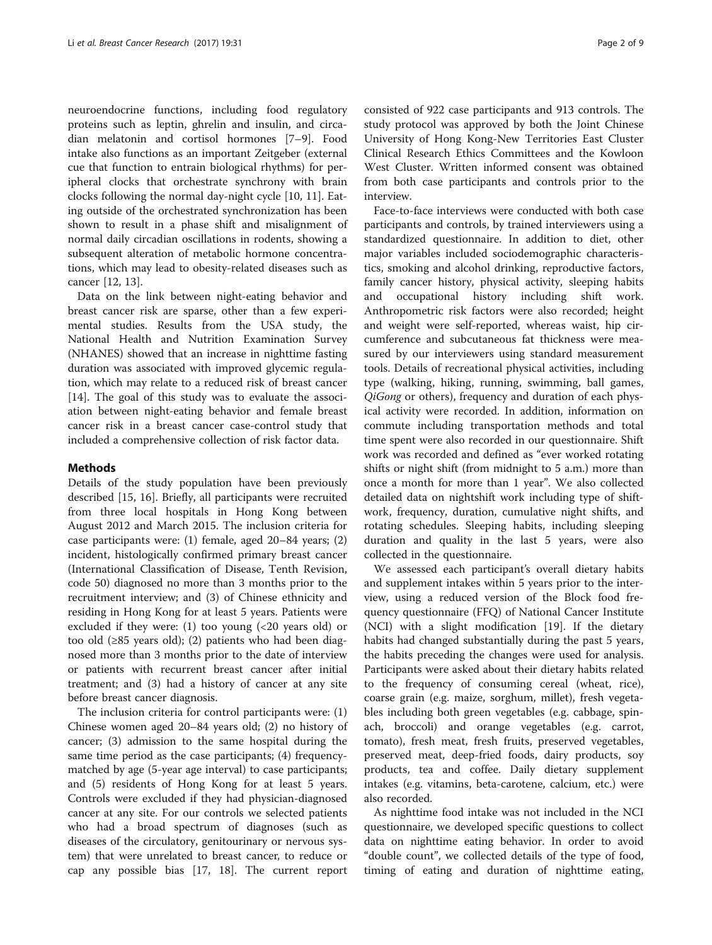neuroendocrine functions, including food regulatory proteins such as leptin, ghrelin and insulin, and circadian melatonin and cortisol hormones [[7](#page-7-0)–[9](#page-7-0)]. Food intake also functions as an important Zeitgeber (external cue that function to entrain biological rhythms) for peripheral clocks that orchestrate synchrony with brain clocks following the normal day-night cycle [\[10, 11\]](#page-7-0). Eating outside of the orchestrated synchronization has been shown to result in a phase shift and misalignment of normal daily circadian oscillations in rodents, showing a subsequent alteration of metabolic hormone concentrations, which may lead to obesity-related diseases such as cancer [[12](#page-7-0), [13](#page-7-0)].

Data on the link between night-eating behavior and breast cancer risk are sparse, other than a few experimental studies. Results from the USA study, the National Health and Nutrition Examination Survey (NHANES) showed that an increase in nighttime fasting duration was associated with improved glycemic regulation, which may relate to a reduced risk of breast cancer [[14\]](#page-7-0). The goal of this study was to evaluate the association between night-eating behavior and female breast cancer risk in a breast cancer case-control study that included a comprehensive collection of risk factor data.

## Methods

Details of the study population have been previously described [[15, 16\]](#page-7-0). Briefly, all participants were recruited from three local hospitals in Hong Kong between August 2012 and March 2015. The inclusion criteria for case participants were: (1) female, aged 20–84 years; (2) incident, histologically confirmed primary breast cancer (International Classification of Disease, Tenth Revision, code 50) diagnosed no more than 3 months prior to the recruitment interview; and (3) of Chinese ethnicity and residing in Hong Kong for at least 5 years. Patients were excluded if they were: (1) too young (<20 years old) or too old (≥85 years old); (2) patients who had been diagnosed more than 3 months prior to the date of interview or patients with recurrent breast cancer after initial treatment; and (3) had a history of cancer at any site before breast cancer diagnosis.

The inclusion criteria for control participants were: (1) Chinese women aged 20–84 years old; (2) no history of cancer; (3) admission to the same hospital during the same time period as the case participants; (4) frequencymatched by age (5-year age interval) to case participants; and (5) residents of Hong Kong for at least 5 years. Controls were excluded if they had physician-diagnosed cancer at any site. For our controls we selected patients who had a broad spectrum of diagnoses (such as diseases of the circulatory, genitourinary or nervous system) that were unrelated to breast cancer, to reduce or cap any possible bias [\[17](#page-7-0), [18\]](#page-8-0). The current report consisted of 922 case participants and 913 controls. The study protocol was approved by both the Joint Chinese University of Hong Kong-New Territories East Cluster Clinical Research Ethics Committees and the Kowloon West Cluster. Written informed consent was obtained from both case participants and controls prior to the interview.

Face-to-face interviews were conducted with both case participants and controls, by trained interviewers using a standardized questionnaire. In addition to diet, other major variables included sociodemographic characteristics, smoking and alcohol drinking, reproductive factors, family cancer history, physical activity, sleeping habits and occupational history including shift work. Anthropometric risk factors were also recorded; height and weight were self-reported, whereas waist, hip circumference and subcutaneous fat thickness were measured by our interviewers using standard measurement tools. Details of recreational physical activities, including type (walking, hiking, running, swimming, ball games, QiGong or others), frequency and duration of each physical activity were recorded. In addition, information on commute including transportation methods and total time spent were also recorded in our questionnaire. Shift work was recorded and defined as "ever worked rotating shifts or night shift (from midnight to 5 a.m.) more than once a month for more than 1 year". We also collected detailed data on nightshift work including type of shiftwork, frequency, duration, cumulative night shifts, and rotating schedules. Sleeping habits, including sleeping duration and quality in the last 5 years, were also collected in the questionnaire.

We assessed each participant's overall dietary habits and supplement intakes within 5 years prior to the interview, using a reduced version of the Block food frequency questionnaire (FFQ) of National Cancer Institute (NCI) with a slight modification [\[19](#page-8-0)]. If the dietary habits had changed substantially during the past 5 years, the habits preceding the changes were used for analysis. Participants were asked about their dietary habits related to the frequency of consuming cereal (wheat, rice), coarse grain (e.g. maize, sorghum, millet), fresh vegetables including both green vegetables (e.g. cabbage, spinach, broccoli) and orange vegetables (e.g. carrot, tomato), fresh meat, fresh fruits, preserved vegetables, preserved meat, deep-fried foods, dairy products, soy products, tea and coffee. Daily dietary supplement intakes (e.g. vitamins, beta-carotene, calcium, etc.) were also recorded.

As nighttime food intake was not included in the NCI questionnaire, we developed specific questions to collect data on nighttime eating behavior. In order to avoid "double count", we collected details of the type of food, timing of eating and duration of nighttime eating,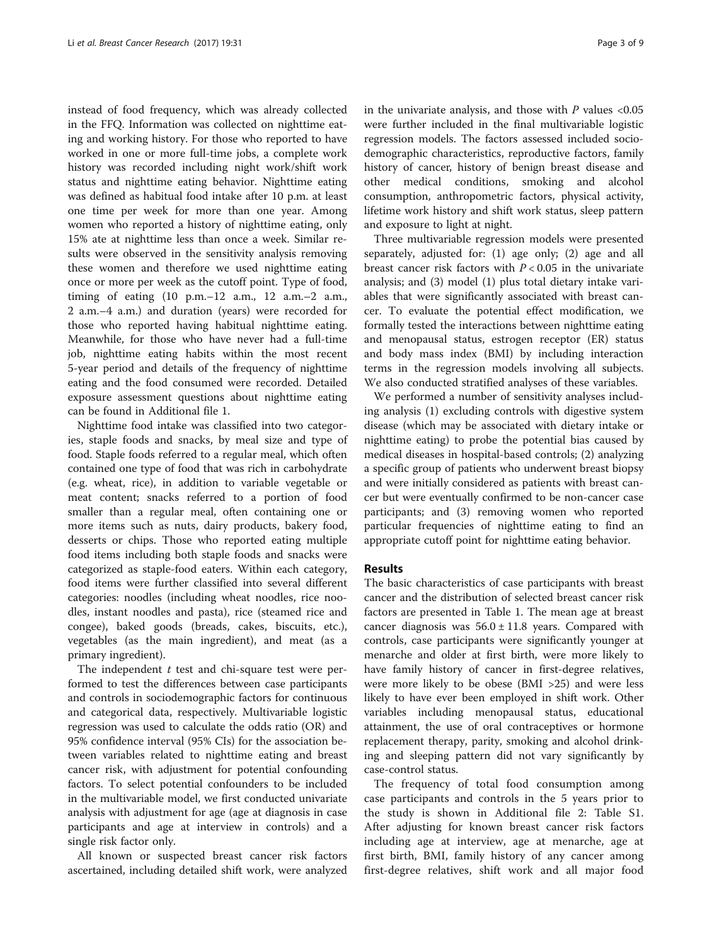instead of food frequency, which was already collected in the FFQ. Information was collected on nighttime eating and working history. For those who reported to have worked in one or more full-time jobs, a complete work history was recorded including night work/shift work status and nighttime eating behavior. Nighttime eating was defined as habitual food intake after 10 p.m. at least one time per week for more than one year. Among women who reported a history of nighttime eating, only 15% ate at nighttime less than once a week. Similar results were observed in the sensitivity analysis removing these women and therefore we used nighttime eating once or more per week as the cutoff point. Type of food, timing of eating (10 p.m.–12 a.m., 12 a.m.–2 a.m., 2 a.m.–4 a.m.) and duration (years) were recorded for those who reported having habitual nighttime eating. Meanwhile, for those who have never had a full-time job, nighttime eating habits within the most recent 5-year period and details of the frequency of nighttime eating and the food consumed were recorded. Detailed exposure assessment questions about nighttime eating can be found in Additional file [1](#page-7-0).

Nighttime food intake was classified into two categories, staple foods and snacks, by meal size and type of food. Staple foods referred to a regular meal, which often contained one type of food that was rich in carbohydrate (e.g. wheat, rice), in addition to variable vegetable or meat content; snacks referred to a portion of food smaller than a regular meal, often containing one or more items such as nuts, dairy products, bakery food, desserts or chips. Those who reported eating multiple food items including both staple foods and snacks were categorized as staple-food eaters. Within each category, food items were further classified into several different categories: noodles (including wheat noodles, rice noodles, instant noodles and pasta), rice (steamed rice and congee), baked goods (breads, cakes, biscuits, etc.), vegetables (as the main ingredient), and meat (as a primary ingredient).

The independent  $t$  test and chi-square test were performed to test the differences between case participants and controls in sociodemographic factors for continuous and categorical data, respectively. Multivariable logistic regression was used to calculate the odds ratio (OR) and 95% confidence interval (95% CIs) for the association between variables related to nighttime eating and breast cancer risk, with adjustment for potential confounding factors. To select potential confounders to be included in the multivariable model, we first conducted univariate analysis with adjustment for age (age at diagnosis in case participants and age at interview in controls) and a single risk factor only.

All known or suspected breast cancer risk factors ascertained, including detailed shift work, were analyzed in the univariate analysis, and those with  $P$  values <0.05 were further included in the final multivariable logistic regression models. The factors assessed included sociodemographic characteristics, reproductive factors, family history of cancer, history of benign breast disease and other medical conditions, smoking and alcohol consumption, anthropometric factors, physical activity, lifetime work history and shift work status, sleep pattern and exposure to light at night.

Three multivariable regression models were presented separately, adjusted for: (1) age only; (2) age and all breast cancer risk factors with  $P < 0.05$  in the univariate analysis; and (3) model (1) plus total dietary intake variables that were significantly associated with breast cancer. To evaluate the potential effect modification, we formally tested the interactions between nighttime eating and menopausal status, estrogen receptor (ER) status and body mass index (BMI) by including interaction terms in the regression models involving all subjects. We also conducted stratified analyses of these variables.

We performed a number of sensitivity analyses including analysis (1) excluding controls with digestive system disease (which may be associated with dietary intake or nighttime eating) to probe the potential bias caused by medical diseases in hospital-based controls; (2) analyzing a specific group of patients who underwent breast biopsy and were initially considered as patients with breast cancer but were eventually confirmed to be non-cancer case participants; and (3) removing women who reported particular frequencies of nighttime eating to find an appropriate cutoff point for nighttime eating behavior.

# Results

The basic characteristics of case participants with breast cancer and the distribution of selected breast cancer risk factors are presented in Table [1.](#page-3-0) The mean age at breast cancer diagnosis was  $56.0 \pm 11.8$  years. Compared with controls, case participants were significantly younger at menarche and older at first birth, were more likely to have family history of cancer in first-degree relatives, were more likely to be obese (BMI >25) and were less likely to have ever been employed in shift work. Other variables including menopausal status, educational attainment, the use of oral contraceptives or hormone replacement therapy, parity, smoking and alcohol drinking and sleeping pattern did not vary significantly by case-control status.

The frequency of total food consumption among case participants and controls in the 5 years prior to the study is shown in Additional file [2:](#page-7-0) Table S1. After adjusting for known breast cancer risk factors including age at interview, age at menarche, age at first birth, BMI, family history of any cancer among first-degree relatives, shift work and all major food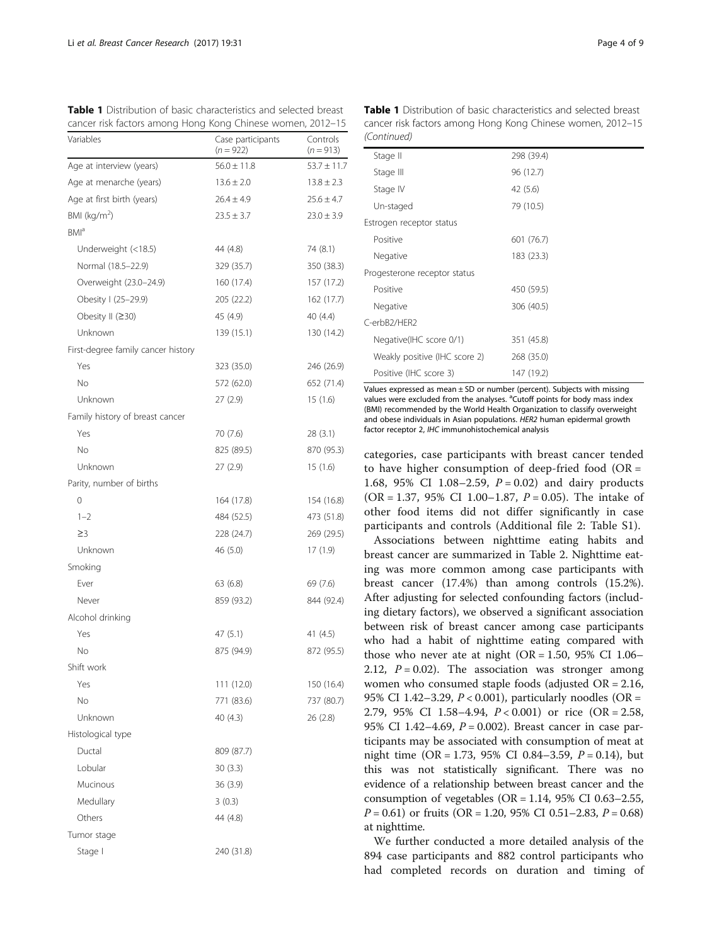<span id="page-3-0"></span>

| <b>Table 1</b> Distribution of basic characteristics and selected breast |  |  |  |  |
|--------------------------------------------------------------------------|--|--|--|--|
| cancer risk factors among Hong Kong Chinese women, 2012-15               |  |  |  |  |

| Variables                          | Case participants<br>$(n = 922)$ | Controls<br>$(n = 913)$ |
|------------------------------------|----------------------------------|-------------------------|
| Age at interview (years)           | $56.0 \pm 11.8$                  | $53.7 \pm 11.7$         |
| Age at menarche (years)            | $13.6 \pm 2.0$                   | $13.8 \pm 2.3$          |
| Age at first birth (years)         | $26.4 \pm 4.9$                   | $25.6 \pm 4.7$          |
| BMI ( $kg/m2$ )                    | $23.5 \pm 3.7$                   | $23.0 \pm 3.9$          |
| BMI <sup>a</sup>                   |                                  |                         |
| Underweight (<18.5)                | 44 (4.8)                         | 74 (8.1)                |
| Normal (18.5-22.9)                 | 329 (35.7)                       | 350 (38.3)              |
| Overweight (23.0-24.9)             | 160 (17.4)                       | 157 (17.2)              |
| Obesity I (25-29.9)                | 205 (22.2)                       | 162(17.7)               |
| Obesity II (≥30)                   | 45 (4.9)                         | 40 (4.4)                |
| Unknown                            | 139 (15.1)                       | 130 (14.2)              |
| First-degree family cancer history |                                  |                         |
| Yes                                | 323 (35.0)                       | 246 (26.9)              |
| <b>No</b>                          | 572 (62.0)                       | 652 (71.4)              |
| Unknown                            | 27(2.9)                          | 15(1.6)                 |
| Family history of breast cancer    |                                  |                         |
| Yes                                | 70 (7.6)                         | 28(3.1)                 |
| No                                 | 825 (89.5)                       | 870 (95.3)              |
| Unknown                            | 27(2.9)                          | 15(1.6)                 |
| Parity, number of births           |                                  |                         |
| 0                                  | 164 (17.8)                       | 154 (16.8)              |
| $1 - 2$                            | 484 (52.5)                       | 473 (51.8)              |
| $\geq$ 3                           | 228 (24.7)                       | 269 (29.5)              |
| Unknown                            | 46 (5.0)                         | 17(1.9)                 |
| Smoking                            |                                  |                         |
| Ever                               | 63(6.8)                          | 69 (7.6)                |
| Never                              | 859 (93.2)                       | 844 (92.4)              |
| Alcohol drinking                   |                                  |                         |
| Yes                                | 47 (5.1)                         | 41 $(4.5)$              |
| No                                 | 875 (94.9)                       | 872 (95.5)              |
| Shift work                         |                                  |                         |
| Yes                                | 111 (12.0)                       | 150 (16.4)              |
| No                                 | 771 (83.6)                       | 737 (80.7)              |
| Unknown                            | 40 (4.3)                         | 26(2.8)                 |
| Histological type                  |                                  |                         |
| Ductal                             | 809 (87.7)                       |                         |
| Lobular                            | 30(3.3)                          |                         |
| Mucinous                           | 36 (3.9)                         |                         |
| Medullary                          | 3(0.3)                           |                         |
| Others                             | 44 (4.8)                         |                         |
| Tumor stage                        |                                  |                         |
| Stage I                            | 240 (31.8)                       |                         |
|                                    |                                  |                         |

(Continued) Stage II 298 (39.4) Stage III 96 (12.7) Stage IV 42 (5.6) Un-staged 79 (10.5) Estrogen receptor status Positive 601 (76.7) Negative 183 (23.3) Progesterone receptor status Positive 450 (59.5) Negative 306 (40.5) C-erbB2/HER2 Negative(IHC score 0/1) 351 (45.8)

Values expressed as mean  $\pm$  SD or number (percent). Subjects with missing values were excluded from the analyses. <sup>a</sup>Cutoff points for body mass index (BMI) recommended by the World Health Organization to classify overweight and obese individuals in Asian populations. HER2 human epidermal growth factor receptor 2, IHC immunohistochemical analysis

Weakly positive (IHC score 2) 268 (35.0) Positive (IHC score 3) 147 (19.2)

categories, case participants with breast cancer tended to have higher consumption of deep-fried food  $(OR =$ 1.68, 95% CI 1.08–2.59,  $P = 0.02$ ) and dairy products  $(OR = 1.37, 95\% \text{ CI } 1.00-1.87, P = 0.05)$ . The intake of other food items did not differ significantly in case participants and controls (Additional file [2:](#page-7-0) Table S1).

Associations between nighttime eating habits and breast cancer are summarized in Table [2](#page-4-0). Nighttime eating was more common among case participants with breast cancer (17.4%) than among controls (15.2%). After adjusting for selected confounding factors (including dietary factors), we observed a significant association between risk of breast cancer among case participants who had a habit of nighttime eating compared with those who never ate at night (OR =  $1.50$ ,  $95\%$  CI  $1.06-$ 2.12,  $P = 0.02$ ). The association was stronger among women who consumed staple foods (adjusted OR = 2.16, 95% CI 1.42–3.29,  $P < 0.001$ ), particularly noodles (OR = 2.79, 95% CI 1.58–4.94,  $P < 0.001$  or rice (OR = 2.58, 95% CI 1.42–4.69,  $P = 0.002$ ). Breast cancer in case participants may be associated with consumption of meat at night time  $(OR = 1.73, 95\% \text{ CI } 0.84 - 3.59, P = 0.14)$ , but this was not statistically significant. There was no evidence of a relationship between breast cancer and the consumption of vegetables ( $OR = 1.14$ , 95% CI 0.63-2.55,  $P = 0.61$ ) or fruits (OR = 1.20, 95% CI 0.51–2.83,  $P = 0.68$ ) at nighttime.

We further conducted a more detailed analysis of the 894 case participants and 882 control participants who had completed records on duration and timing of

Table 1 Distribution of basic characteristics and selected breast cancer risk factors among Hong Kong Chinese women, 2012–15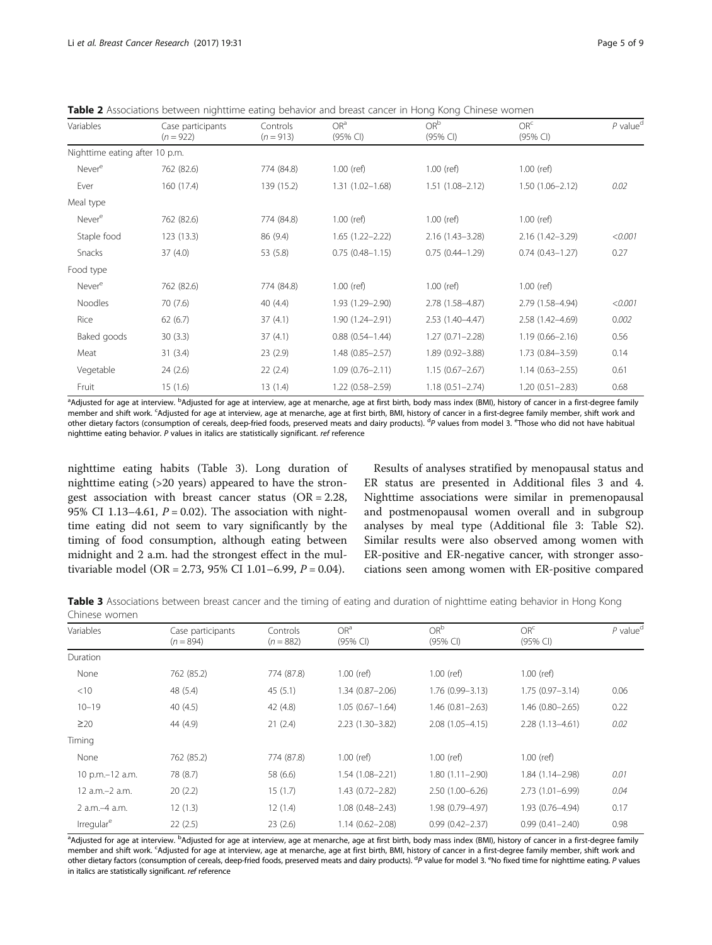<span id="page-4-0"></span>Table 2 Associations between nighttime eating behavior and breast cancer in Hong Kong Chinese women

|                                |                                  |                         | OR <sup>a</sup>     | OR <sup>b</sup>     | OR <sup>c</sup>     | $P$ value <sup>d</sup> |
|--------------------------------|----------------------------------|-------------------------|---------------------|---------------------|---------------------|------------------------|
| Variables                      | Case participants<br>$(n = 922)$ | Controls<br>$(n = 913)$ | (95% Cl)            | (95% Cl)            | (95% CI)            |                        |
| Nighttime eating after 10 p.m. |                                  |                         |                     |                     |                     |                        |
| Never <sup>e</sup>             | 762 (82.6)                       | 774 (84.8)              | $1.00$ (ref)        | $1.00$ (ref)        | $1.00$ (ref)        |                        |
| Ever                           | 160 (17.4)                       | 139 (15.2)              | $1.31(1.02 - 1.68)$ | $1.51(1.08 - 2.12)$ | $1.50(1.06 - 2.12)$ | 0.02                   |
| Meal type                      |                                  |                         |                     |                     |                     |                        |
| Never <sup>e</sup>             | 762 (82.6)                       | 774 (84.8)              | $1.00$ (ref)        | $1.00$ (ref)        | $1.00$ (ref)        |                        |
| Staple food                    | 123(13.3)                        | 86 (9.4)                | $1.65(1.22 - 2.22)$ | $2.16(1.43 - 3.28)$ | $2.16(1.42 - 3.29)$ | < 0.001                |
| Snacks                         | 37(4.0)                          | 53 (5.8)                | $0.75(0.48 - 1.15)$ | $0.75(0.44 - 1.29)$ | $0.74(0.43 - 1.27)$ | 0.27                   |
| Food type                      |                                  |                         |                     |                     |                     |                        |
| Never <sup>e</sup>             | 762 (82.6)                       | 774 (84.8)              | $1.00$ (ref)        | $1.00$ (ref)        | $1.00$ (ref)        |                        |
| Noodles                        | 70(7.6)                          | 40(4.4)                 | 1.93 (1.29-2.90)    | 2.78 (1.58-4.87)    | 2.79 (1.58-4.94)    | < 0.001                |
| Rice                           | 62(6.7)                          | 37(4.1)                 | $1.90(1.24 - 2.91)$ | $2.53(1.40-4.47)$   | 2.58 (1.42-4.69)    | 0.002                  |
| Baked goods                    | 30(3.3)                          | 37(4.1)                 | $0.88(0.54 - 1.44)$ | $1.27(0.71 - 2.28)$ | $1.19(0.66 - 2.16)$ | 0.56                   |
| Meat                           | 31(3.4)                          | 23(2.9)                 | $1.48(0.85 - 2.57)$ | 1.89 (0.92-3.88)    | 1.73 (0.84-3.59)    | 0.14                   |
| Vegetable                      | 24(2.6)                          | 22(2.4)                 | $1.09(0.76 - 2.11)$ | $1.15(0.67 - 2.67)$ | $1.14(0.63 - 2.55)$ | 0.61                   |
| Fruit                          | 15(1.6)                          | 13(1.4)                 | $1.22(0.58 - 2.59)$ | $1.18(0.51 - 2.74)$ | $1.20(0.51 - 2.83)$ | 0.68                   |

<sup>a</sup>Adjusted for age at interview. <sup>b</sup>Adjusted for age at interview, age at menarche, age at first birth, body mass index (BMI), history of cancer in a first-degree family member and shift work. <sup>c</sup>Adjusted for age at interview, age at menarche, age at first birth, BMI, history of cancer in a first-degree family member, shift work and other dietary factors (consumption of cereals, deep-fried foods, preserved meats and dairy products). <sup>d</sup>P values from model 3. <sup>e</sup>Those who did not have habitual nighttime eating behavior. P values in italics are statistically significant. ref reference

nighttime eating habits (Table 3). Long duration of nighttime eating (>20 years) appeared to have the strongest association with breast cancer status  $(OR = 2.28,$ 95% CI 1.13–4.61,  $P = 0.02$ ). The association with nighttime eating did not seem to vary significantly by the timing of food consumption, although eating between midnight and 2 a.m. had the strongest effect in the multivariable model (OR = 2.73, 95% CI 1.01–6.99,  $P = 0.04$ ).

Results of analyses stratified by menopausal status and ER status are presented in Additional files [3](#page-7-0) and [4](#page-7-0). Nighttime associations were similar in premenopausal and postmenopausal women overall and in subgroup analyses by meal type (Additional file [3](#page-7-0): Table S2). Similar results were also observed among women with ER-positive and ER-negative cancer, with stronger associations seen among women with ER-positive compared

Table 3 Associations between breast cancer and the timing of eating and duration of nighttime eating behavior in Hong Kong Chinese women

| Variables              | Case participants | Controls    | OR <sup>a</sup>     | OR <sup>b</sup>     | OR <sup>c</sup>     | $P$ value <sup>d</sup> |
|------------------------|-------------------|-------------|---------------------|---------------------|---------------------|------------------------|
|                        | $(n = 894)$       | $(n = 882)$ | (95% CI)            | (95% CI)            | (95% CI)            |                        |
| Duration               |                   |             |                     |                     |                     |                        |
| None                   | 762 (85.2)        | 774 (87.8)  | $1.00$ (ref)        | $1.00$ (ref)        | $1.00$ (ref)        |                        |
| $<$ 10                 | 48 (5.4)          | 45(5.1)     | $1.34(0.87 - 2.06)$ | $1.76(0.99 - 3.13)$ | $1.75(0.97 - 3.14)$ | 0.06                   |
| $10 - 19$              | 40(4.5)           | 42 (4.8)    | $1.05(0.67 - 1.64)$ | $1.46(0.81 - 2.63)$ | 1.46 (0.80-2.65)    | 0.22                   |
| $\geq$ 20              | 44 (4.9)          | 21(2.4)     | $2.23(1.30-3.82)$   | $2.08(1.05 - 4.15)$ | $2.28(1.13 - 4.61)$ | 0.02                   |
| Timing                 |                   |             |                     |                     |                     |                        |
| None                   | 762 (85.2)        | 774 (87.8)  | $1.00$ (ref)        | $1.00$ (ref)        | $1.00$ (ref)        |                        |
| 10 p.m.-12 a.m.        | 78 (8.7)          | 58 (6.6)    | $1.54(1.08 - 2.21)$ | $1.80(1.11 - 2.90)$ | 1.84 (1.14-2.98)    | 0.01                   |
| 12 a.m.-2 a.m.         | 20(2.2)           | 15(1.7)     | $1.43(0.72 - 2.82)$ | $2.50(1.00 - 6.26)$ | $2.73(1.01 - 6.99)$ | 0.04                   |
| 2 a.m.-4 a.m.          | 12(1.3)           | 12(1.4)     | $1.08(0.48 - 2.43)$ | 1.98 (0.79-4.97)    | 1.93 (0.76-4.94)    | 0.17                   |
| Irregular <sup>e</sup> | 22(2.5)           | 23(2.6)     | $1.14(0.62 - 2.08)$ | $0.99(0.42 - 2.37)$ | $0.99(0.41 - 2.40)$ | 0.98                   |

<sup>a</sup>Adjusted for age at interview. <sup>b</sup>Adjusted for age at interview, age at menarche, age at first birth, body mass index (BMI), history of cancer in a first-degree family member and shift work. <sup>c</sup>Adjusted for age at interview, age at menarche, age at first birth, BMI, history of cancer in a first-degree family member, shift work and other dietary factors (consumption of cereals, deep-fried foods, preserved meats and dairy products). <sup>d</sup>P value for model 3. <sup>e</sup>No fixed time for nighttime eating. P values in italics are statistically significant. ref reference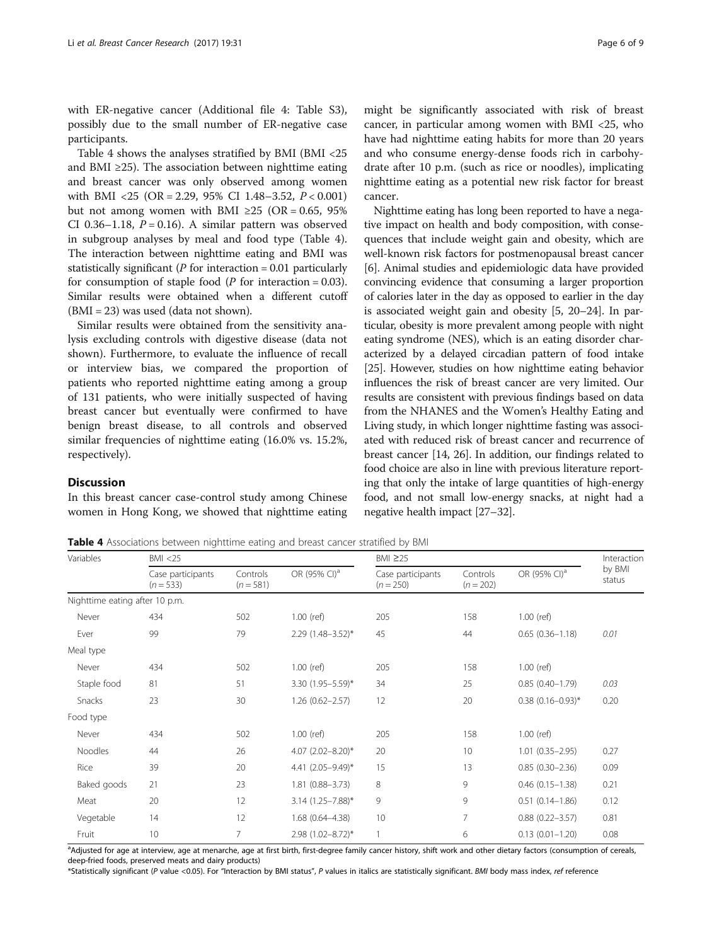with ER-negative cancer (Additional file [4](#page-7-0): Table S3), possibly due to the small number of ER-negative case participants.

Table 4 shows the analyses stratified by BMI (BMI <25 and BMI  $\geq$ 25). The association between nighttime eating and breast cancer was only observed among women with BMI <25 (OR = 2.29, 95% CI 1.48–3.52, P < 0.001) but not among women with BMI ≥25 (OR = 0.65, 95%) CI 0.36–1.18,  $P = 0.16$ ). A similar pattern was observed in subgroup analyses by meal and food type (Table 4). The interaction between nighttime eating and BMI was statistically significant ( $P$  for interaction = 0.01 particularly for consumption of staple food ( $P$  for interaction = 0.03). Similar results were obtained when a different cutoff (BMI = 23) was used (data not shown).

Similar results were obtained from the sensitivity analysis excluding controls with digestive disease (data not shown). Furthermore, to evaluate the influence of recall or interview bias, we compared the proportion of patients who reported nighttime eating among a group of 131 patients, who were initially suspected of having breast cancer but eventually were confirmed to have benign breast disease, to all controls and observed similar frequencies of nighttime eating (16.0% vs. 15.2%, respectively).

# **Discussion**

In this breast cancer case-control study among Chinese women in Hong Kong, we showed that nighttime eating

might be significantly associated with risk of breast cancer, in particular among women with BMI <25, who have had nighttime eating habits for more than 20 years and who consume energy-dense foods rich in carbohydrate after 10 p.m. (such as rice or noodles), implicating nighttime eating as a potential new risk factor for breast cancer.

Nighttime eating has long been reported to have a negative impact on health and body composition, with consequences that include weight gain and obesity, which are well-known risk factors for postmenopausal breast cancer [[6\]](#page-7-0). Animal studies and epidemiologic data have provided convincing evidence that consuming a larger proportion of calories later in the day as opposed to earlier in the day is associated weight gain and obesity [\[5](#page-7-0), [20](#page-8-0)–[24](#page-8-0)]. In particular, obesity is more prevalent among people with night eating syndrome (NES), which is an eating disorder characterized by a delayed circadian pattern of food intake [[25](#page-8-0)]. However, studies on how nighttime eating behavior influences the risk of breast cancer are very limited. Our results are consistent with previous findings based on data from the NHANES and the Women's Healthy Eating and Living study, in which longer nighttime fasting was associated with reduced risk of breast cancer and recurrence of breast cancer [[14](#page-7-0), [26](#page-8-0)]. In addition, our findings related to food choice are also in line with previous literature reporting that only the intake of large quantities of high-energy food, and not small low-energy snacks, at night had a negative health impact [[27](#page-8-0)–[32\]](#page-8-0).

Table 4 Associations between nighttime eating and breast cancer stratified by BMI

| Variables                      | BMI < 25                         |                         |                          | BMI ≥25                          |                         |                          | Interaction      |
|--------------------------------|----------------------------------|-------------------------|--------------------------|----------------------------------|-------------------------|--------------------------|------------------|
|                                | Case participants<br>$(n = 533)$ | Controls<br>$(n = 581)$ | OR (95% CI) <sup>a</sup> | Case participants<br>$(n = 250)$ | Controls<br>$(n = 202)$ | OR (95% CI) <sup>a</sup> | by BMI<br>status |
| Nighttime eating after 10 p.m. |                                  |                         |                          |                                  |                         |                          |                  |
| Never                          | 434                              | 502                     | $1.00$ (ref)             | 205                              | 158                     | $1.00$ (ref)             |                  |
| Ever                           | 99                               | 79                      | $2.29(1.48 - 3.52)^*$    | 45                               | 44                      | $0.65(0.36 - 1.18)$      | 0.01             |
| Meal type                      |                                  |                         |                          |                                  |                         |                          |                  |
| Never                          | 434                              | 502                     | $1.00$ (ref)             | 205                              | 158                     | $1.00$ (ref)             |                  |
| Staple food                    | 81                               | 51                      | 3.30 $(1.95 - 5.59)^*$   | 34                               | 25                      | $0.85(0.40-1.79)$        | 0.03             |
| Snacks                         | 23                               | 30                      | $1.26(0.62 - 2.57)$      | 12                               | 20                      | $0.38$ (0.16-0.93)*      | 0.20             |
| Food type                      |                                  |                         |                          |                                  |                         |                          |                  |
| Never                          | 434                              | 502                     | $1.00$ (ref)             | 205                              | 158                     | $1.00$ (ref)             |                  |
| Noodles                        | 44                               | 26                      | 4.07 $(2.02 - 8.20)^*$   | 20                               | 10                      | $1.01(0.35 - 2.95)$      | 0.27             |
| Rice                           | 39                               | 20                      | 4.41 (2.05-9.49)*        | 15                               | 13                      | $0.85(0.30 - 2.36)$      | 0.09             |
| Baked goods                    | 21                               | 23                      | 1.81 (0.88-3.73)         | 8                                | 9                       | $0.46(0.15 - 1.38)$      | 0.21             |
| Meat                           | 20                               | 12                      | $3.14$ (1.25-7.88)*      | 9                                | 9                       | $0.51(0.14 - 1.86)$      | 0.12             |
| Vegetable                      | 14                               | 12                      | 1.68 (0.64-4.38)         | 10                               | 7                       | $0.88$ $(0.22 - 3.57)$   | 0.81             |
| Fruit                          | 10                               | $\overline{7}$          | $2.98$ (1.02-8.72)*      | 1                                | 6                       | $0.13(0.01 - 1.20)$      | 0.08             |

a<br>Adjusted for age at interview, age at menarche, age at first birth, first-degree family cancer history, shift work and other dietary factors (consumption of cereals, deep-fried foods, preserved meats and dairy products)

\*Statistically significant (P value <0.05). For "Interaction by BMI status", P values in italics are statistically significant. BMI body mass index, ref reference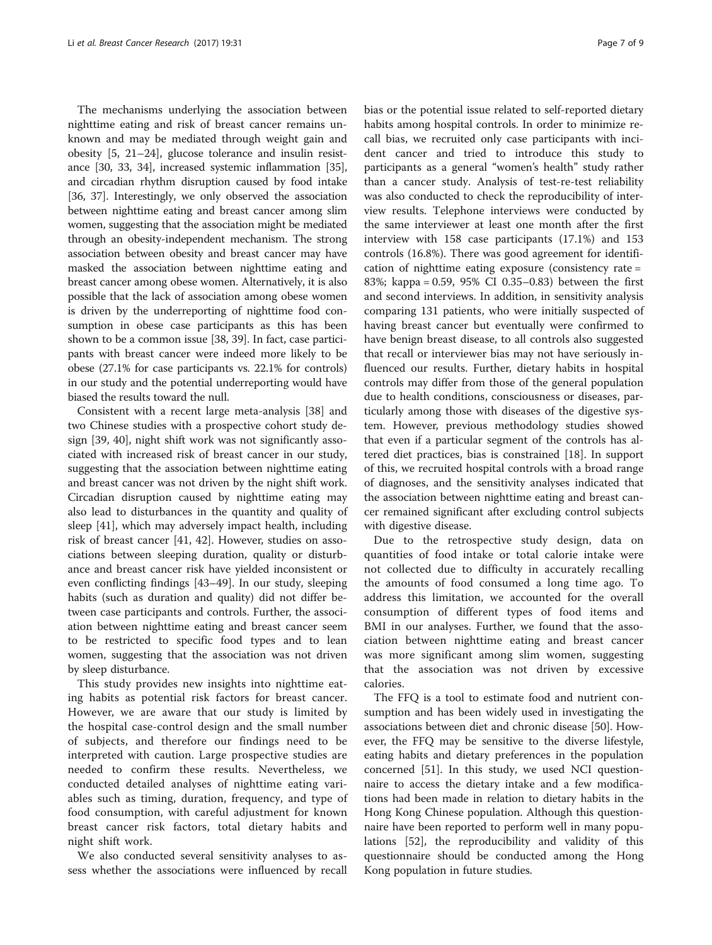The mechanisms underlying the association between nighttime eating and risk of breast cancer remains unknown and may be mediated through weight gain and obesity [\[5](#page-7-0), [21](#page-8-0)–[24](#page-8-0)], glucose tolerance and insulin resistance [\[30](#page-8-0), [33](#page-8-0), [34](#page-8-0)], increased systemic inflammation [[35](#page-8-0)], and circadian rhythm disruption caused by food intake [[36](#page-8-0), [37\]](#page-8-0). Interestingly, we only observed the association between nighttime eating and breast cancer among slim women, suggesting that the association might be mediated through an obesity-independent mechanism. The strong association between obesity and breast cancer may have masked the association between nighttime eating and breast cancer among obese women. Alternatively, it is also possible that the lack of association among obese women is driven by the underreporting of nighttime food consumption in obese case participants as this has been shown to be a common issue [\[38](#page-8-0), [39\]](#page-8-0). In fact, case participants with breast cancer were indeed more likely to be obese (27.1% for case participants vs. 22.1% for controls) in our study and the potential underreporting would have biased the results toward the null.

Consistent with a recent large meta-analysis [\[38](#page-8-0)] and two Chinese studies with a prospective cohort study design [[39](#page-8-0), [40\]](#page-8-0), night shift work was not significantly associated with increased risk of breast cancer in our study, suggesting that the association between nighttime eating and breast cancer was not driven by the night shift work. Circadian disruption caused by nighttime eating may also lead to disturbances in the quantity and quality of sleep [[41](#page-8-0)], which may adversely impact health, including risk of breast cancer [\[41](#page-8-0), [42\]](#page-8-0). However, studies on associations between sleeping duration, quality or disturbance and breast cancer risk have yielded inconsistent or even conflicting findings [\[43](#page-8-0)–[49\]](#page-8-0). In our study, sleeping habits (such as duration and quality) did not differ between case participants and controls. Further, the association between nighttime eating and breast cancer seem to be restricted to specific food types and to lean women, suggesting that the association was not driven by sleep disturbance.

This study provides new insights into nighttime eating habits as potential risk factors for breast cancer. However, we are aware that our study is limited by the hospital case-control design and the small number of subjects, and therefore our findings need to be interpreted with caution. Large prospective studies are needed to confirm these results. Nevertheless, we conducted detailed analyses of nighttime eating variables such as timing, duration, frequency, and type of food consumption, with careful adjustment for known breast cancer risk factors, total dietary habits and night shift work.

We also conducted several sensitivity analyses to assess whether the associations were influenced by recall

bias or the potential issue related to self-reported dietary habits among hospital controls. In order to minimize recall bias, we recruited only case participants with incident cancer and tried to introduce this study to participants as a general "women's health" study rather than a cancer study. Analysis of test-re-test reliability was also conducted to check the reproducibility of interview results. Telephone interviews were conducted by the same interviewer at least one month after the first interview with 158 case participants (17.1%) and 153 controls (16.8%). There was good agreement for identification of nighttime eating exposure (consistency rate = 83%; kappa = 0.59, 95% CI 0.35–0.83) between the first and second interviews. In addition, in sensitivity analysis comparing 131 patients, who were initially suspected of having breast cancer but eventually were confirmed to have benign breast disease, to all controls also suggested that recall or interviewer bias may not have seriously influenced our results. Further, dietary habits in hospital controls may differ from those of the general population due to health conditions, consciousness or diseases, particularly among those with diseases of the digestive system. However, previous methodology studies showed that even if a particular segment of the controls has altered diet practices, bias is constrained [\[18](#page-8-0)]. In support of this, we recruited hospital controls with a broad range of diagnoses, and the sensitivity analyses indicated that the association between nighttime eating and breast cancer remained significant after excluding control subjects with digestive disease.

Due to the retrospective study design, data on quantities of food intake or total calorie intake were not collected due to difficulty in accurately recalling the amounts of food consumed a long time ago. To address this limitation, we accounted for the overall consumption of different types of food items and BMI in our analyses. Further, we found that the association between nighttime eating and breast cancer was more significant among slim women, suggesting that the association was not driven by excessive calories.

The FFQ is a tool to estimate food and nutrient consumption and has been widely used in investigating the associations between diet and chronic disease [\[50](#page-8-0)]. However, the FFQ may be sensitive to the diverse lifestyle, eating habits and dietary preferences in the population concerned [\[51](#page-8-0)]. In this study, we used NCI questionnaire to access the dietary intake and a few modifications had been made in relation to dietary habits in the Hong Kong Chinese population. Although this questionnaire have been reported to perform well in many populations [[52\]](#page-8-0), the reproducibility and validity of this questionnaire should be conducted among the Hong Kong population in future studies.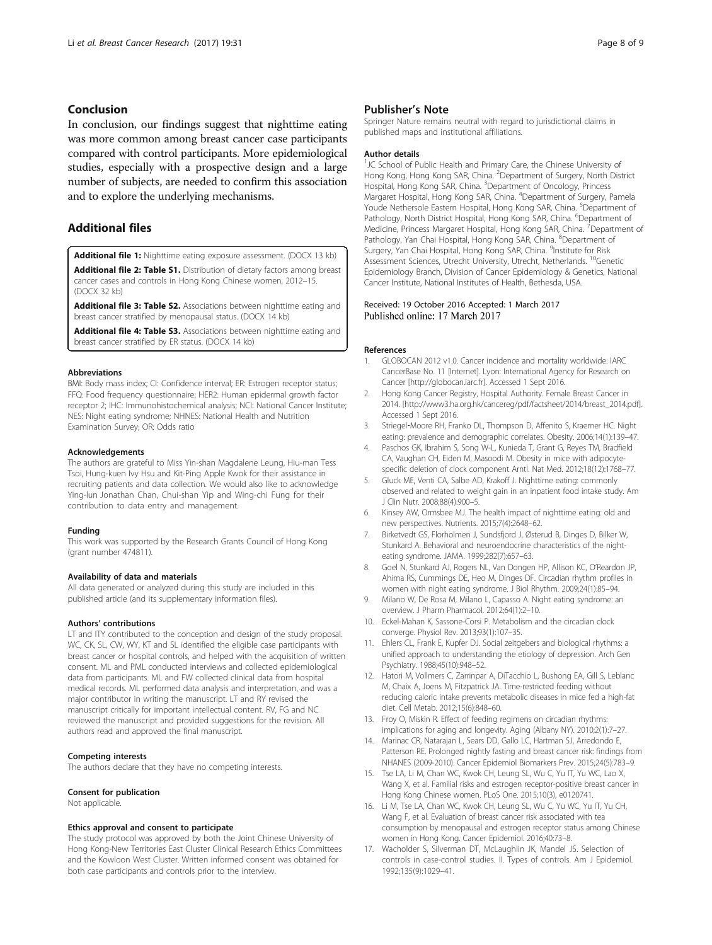# <span id="page-7-0"></span>Conclusion

In conclusion, our findings suggest that nighttime eating was more common among breast cancer case participants compared with control participants. More epidemiological studies, especially with a prospective design and a large number of subjects, are needed to confirm this association and to explore the underlying mechanisms.

# Additional files

[Additional file 1:](dx.doi.org/10.1186/s13058-017-0821-x) Nighttime eating exposure assessment. (DOCX 13 kb)

[Additional file 2: Table S1.](dx.doi.org/10.1186/s13058-017-0821-x) Distribution of dietary factors among breast cancer cases and controls in Hong Kong Chinese women, 2012–15. (DOCX 32 kb)

[Additional file 3: Table S2.](dx.doi.org/10.1186/s13058-017-0821-x) Associations between nighttime eating and breast cancer stratified by menopausal status. (DOCX 14 kb)

[Additional file 4: Table S3.](dx.doi.org/10.1186/s13058-017-0821-x) Associations between nighttime eating and breast cancer stratified by ER status. (DOCX 14 kb)

#### Abbreviations

BMI: Body mass index; CI: Confidence interval; ER: Estrogen receptor status; FFQ: Food frequency questionnaire; HER2: Human epidermal growth factor receptor 2; IHC: Immunohistochemical analysis; NCI: National Cancer Institute; NES: Night eating syndrome; NHNES: National Health and Nutrition Examination Survey; OR: Odds ratio

#### Acknowledgements

The authors are grateful to Miss Yin-shan Magdalene Leung, Hiu-man Tess Tsoi, Hung-kuen Ivy Hsu and Kit-Ping Apple Kwok for their assistance in recruiting patients and data collection. We would also like to acknowledge Ying-lun Jonathan Chan, Chui-shan Yip and Wing-chi Fung for their contribution to data entry and management.

#### Funding

This work was supported by the Research Grants Council of Hong Kong (grant number 474811).

#### Availability of data and materials

All data generated or analyzed during this study are included in this published article (and its supplementary information files).

#### Authors' contributions

LT and ITY contributed to the conception and design of the study proposal. WC, CK, SL, CW, WY, KT and SL identified the eligible case participants with breast cancer or hospital controls, and helped with the acquisition of written consent. ML and PML conducted interviews and collected epidemiological data from participants. ML and FW collected clinical data from hospital medical records. ML performed data analysis and interpretation, and was a major contributor in writing the manuscript. LT and RY revised the manuscript critically for important intellectual content. RV, FG and NC reviewed the manuscript and provided suggestions for the revision. All authors read and approved the final manuscript.

## Competing interests

The authors declare that they have no competing interests.

#### Consent for publication

Not applicable.

#### Ethics approval and consent to participate

The study protocol was approved by both the Joint Chinese University of Hong Kong-New Territories East Cluster Clinical Research Ethics Committees and the Kowloon West Cluster. Written informed consent was obtained for both case participants and controls prior to the interview.

# Publisher's Note

Springer Nature remains neutral with regard to jurisdictional claims in published maps and institutional affiliations.

#### Author details

<sup>1</sup>JC School of Public Health and Primary Care, the Chinese University of Hong Kong, Hong Kong SAR, China. <sup>2</sup> Department of Surgery, North District Hospital, Hong Kong SAR, China. <sup>3</sup>Department of Oncology, Princess Margaret Hospital, Hong Kong SAR, China. <sup>4</sup>Department of Surgery, Pamela Youde Nethersole Eastern Hospital, Hong Kong SAR, China. <sup>5</sup>Department of Pathology, North District Hospital, Hong Kong SAR, China. <sup>6</sup>Department of Medicine, Princess Margaret Hospital, Hong Kong SAR, China. <sup>7</sup>Department of Pathology, Yan Chai Hospital, Hong Kong SAR, China. <sup>8</sup>Department of Surgery, Yan Chai Hospital, Hong Kong SAR, China. <sup>9</sup>Institute for Risk Assessment Sciences, Utrecht University, Utrecht, Netherlands. 10Genetic Epidemiology Branch, Division of Cancer Epidemiology & Genetics, National Cancer Institute, National Institutes of Health, Bethesda, USA.

# Received: 19 October 2016 Accepted: 1 March 2017

#### References

- 1. GLOBOCAN 2012 v1.0. Cancer incidence and mortality worldwide: IARC CancerBase No. 11 [Internet]. Lyon: International Agency for Research on Cancer [\[http://globocan.iarc.fr](http://globocan.iarc.fr)]. Accessed 1 Sept 2016.
- 2. Hong Kong Cancer Registry, Hospital Authority. Female Breast Cancer in 2014. [[http://www3.ha.org.hk/cancereg/pdf/factsheet/2014/breast\\_2014.pdf\]](http://www3.ha.org.hk/cancereg/pdf/factsheet/2014/breast_2014.pdf). Accessed 1 Sept 2016.
- 3. Striegel‐Moore RH, Franko DL, Thompson D, Affenito S, Kraemer HC. Night eating: prevalence and demographic correlates. Obesity. 2006;14(1):139–47.
- 4. Paschos GK, Ibrahim S, Song W-L, Kunieda T, Grant G, Reyes TM, Bradfield CA, Vaughan CH, Eiden M, Masoodi M. Obesity in mice with adipocytespecific deletion of clock component Arntl. Nat Med. 2012;18(12):1768–77.
- 5. Gluck ME, Venti CA, Salbe AD, Krakoff J. Nighttime eating: commonly observed and related to weight gain in an inpatient food intake study. Am J Clin Nutr. 2008;88(4):900–5.
- Kinsey AW, Ormsbee MJ. The health impact of nighttime eating: old and new perspectives. Nutrients. 2015;7(4):2648–62.
- 7. Birketvedt GS, Florholmen J, Sundsfjord J, Østerud B, Dinges D, Bilker W, Stunkard A. Behavioral and neuroendocrine characteristics of the nighteating syndrome. JAMA. 1999;282(7):657–63.
- 8. Goel N, Stunkard AJ, Rogers NL, Van Dongen HP, Allison KC, O'Reardon JP, Ahima RS, Cummings DE, Heo M, Dinges DF. Circadian rhythm profiles in women with night eating syndrome. J Biol Rhythm. 2009;24(1):85–94.
- 9. Milano W, De Rosa M, Milano L, Capasso A. Night eating syndrome: an overview. J Pharm Pharmacol. 2012;64(1):2–10.
- 10. Eckel-Mahan K, Sassone-Corsi P. Metabolism and the circadian clock converge. Physiol Rev. 2013;93(1):107–35.
- 11. Ehlers CL, Frank E, Kupfer DJ. Social zeitgebers and biological rhythms: a unified approach to understanding the etiology of depression. Arch Gen Psychiatry. 1988;45(10):948–52.
- 12. Hatori M, Vollmers C, Zarrinpar A, DiTacchio L, Bushong EA, Gill S, Leblanc M, Chaix A, Joens M, Fitzpatrick JA. Time-restricted feeding without reducing caloric intake prevents metabolic diseases in mice fed a high-fat diet. Cell Metab. 2012;15(6):848–60.
- 13. Froy O, Miskin R. Effect of feeding regimens on circadian rhythms: implications for aging and longevity. Aging (Albany NY). 2010;2(1):7–27.
- 14. Marinac CR, Natarajan L, Sears DD, Gallo LC, Hartman SJ, Arredondo E, Patterson RE. Prolonged nightly fasting and breast cancer risk: findings from NHANES (2009-2010). Cancer Epidemiol Biomarkers Prev. 2015;24(5):783–9.
- 15. Tse LA, Li M, Chan WC, Kwok CH, Leung SL, Wu C, Yu IT, Yu WC, Lao X, Wang X, et al. Familial risks and estrogen receptor-positive breast cancer in Hong Kong Chinese women. PLoS One. 2015;10(3), e0120741.
- 16. Li M, Tse LA, Chan WC, Kwok CH, Leung SL, Wu C, Yu WC, Yu IT, Yu CH, Wang F, et al. Evaluation of breast cancer risk associated with tea consumption by menopausal and estrogen receptor status among Chinese women in Hong Kong. Cancer Epidemiol. 2016;40:73–8.
- 17. Wacholder S, Silverman DT, McLaughlin JK, Mandel JS. Selection of controls in case-control studies. II. Types of controls. Am J Epidemiol. 1992;135(9):1029–41.